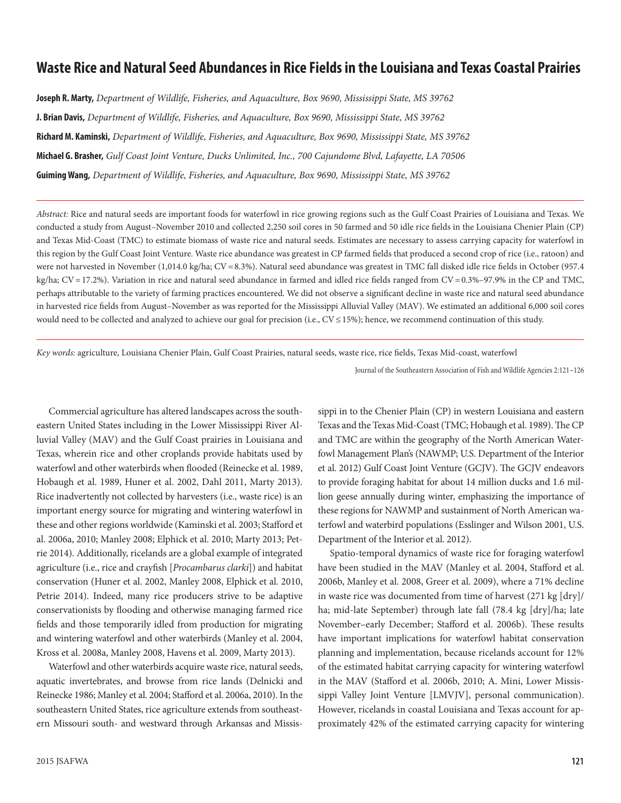# **Waste Rice and Natural Seed Abundances in Rice Fields in the Louisiana and Texas Coastal Prairies**

**Joseph R. Marty,** *Department of Wildlife, Fisheries, and Aquaculture, Box 9690, Mississippi State, MS 39762*  **J. Brian Davis,** *Department of Wildlife, Fisheries, and Aquaculture, Box 9690, Mississippi State, MS 39762* **Richard M. Kaminski,** *Department of Wildlife, Fisheries, and Aquaculture, Box 9690, Mississippi State, MS 39762* **Michael G. Brasher,** *Gulf Coast Joint Venture, Ducks Unlimited, Inc., 700 Cajundome Blvd, Lafayette, LA 70506* **Guiming Wang,** *Department of Wildlife, Fisheries, and Aquaculture, Box 9690, Mississippi State, MS 39762*

*Abstract:* Rice and natural seeds are important foods for waterfowl in rice growing regions such as the Gulf Coast Prairies of Louisiana and Texas. We conducted a study from August–November 2010 and collected 2,250 soil cores in 50 farmed and 50 idle rice fields in the Louisiana Chenier Plain (CP) and Texas Mid-Coast (TMC) to estimate biomass of waste rice and natural seeds. Estimates are necessary to assess carrying capacity for waterfowl in this region by the Gulf Coast Joint Venture. Waste rice abundance was greatest in CP farmed fields that produced a second crop of rice (i.e., ratoon) and were not harvested in November (1,014.0 kg/ha; CV=8.3%). Natural seed abundance was greatest in TMC fall disked idle rice fields in October (957.4 kg/ha; CV = 17.2%). Variation in rice and natural seed abundance in farmed and idled rice fields ranged from CV = 0.3%–97.9% in the CP and TMC, perhaps attributable to the variety of farming practices encountered. We did not observe a significant decline in waste rice and natural seed abundance in harvested rice fields from August–November as was reported for the Mississippi Alluvial Valley (MAV). We estimated an additional 6,000 soil cores would need to be collected and analyzed to achieve our goal for precision (i.e., CV ≤15%); hence, we recommend continuation of this study.

*Key words:* agriculture, Louisiana Chenier Plain, Gulf Coast Prairies, natural seeds, waste rice, rice fields, Texas Mid-coast, waterfowl

Commercial agriculture has altered landscapes across the southeastern United States including in the Lower Mississippi River Alluvial Valley (MAV) and the Gulf Coast prairies in Louisiana and Texas, wherein rice and other croplands provide habitats used by waterfowl and other waterbirds when flooded (Reinecke et al. 1989, Hobaugh et al. 1989, Huner et al. 2002, Dahl 2011, Marty 2013). Rice inadvertently not collected by harvesters (i.e., waste rice) is an important energy source for migrating and wintering waterfowl in these and other regions worldwide (Kaminski et al. 2003; Stafford et al. 2006a, 2010; Manley 2008; Elphick et al. 2010; Marty 2013; Petrie 2014). Additionally, ricelands are a global example of integrated agriculture (i.e., rice and crayfish [*Procambarus clarki*]) and habitat conservation (Huner et al. 2002, Manley 2008, Elphick et al. 2010, Petrie 2014). Indeed, many rice producers strive to be adaptive conservationists by flooding and otherwise managing farmed rice fields and those temporarily idled from production for migrating and wintering waterfowl and other waterbirds (Manley et al. 2004, Kross et al. 2008a, Manley 2008, Havens et al. 2009, Marty 2013).

Waterfowl and other waterbirds acquire waste rice, natural seeds, aquatic invertebrates, and browse from rice lands (Delnicki and Reinecke 1986; Manley et al. 2004; Stafford et al. 2006a, 2010). In the southeastern United States, rice agriculture extends from southeastern Missouri south- and westward through Arkansas and Missis-

2015 JSAFWA **121**

sippi in to the Chenier Plain (CP) in western Louisiana and eastern Texas and the Texas Mid-Coast (TMC; Hobaugh et al. 1989). The CP and TMC are within the geography of the North American Waterfowl Management Plan's (NAWMP; U.S. Department of the Interior et al. 2012) Gulf Coast Joint Venture (GCJV). The GCJV endeavors to provide foraging habitat for about 14 million ducks and 1.6 million geese annually during winter, emphasizing the importance of these regions for NAWMP and sustainment of North American waterfowl and waterbird populations (Esslinger and Wilson 2001, U.S. Department of the Interior et al. 2012).

Spatio-temporal dynamics of waste rice for foraging waterfowl have been studied in the MAV (Manley et al. 2004, Stafford et al. 2006b, Manley et al. 2008, Greer et al. 2009), where a 71% decline in waste rice was documented from time of harvest (271 kg [dry]/ ha; mid-late September) through late fall (78.4 kg [dry]/ha; late November–early December; Stafford et al. 2006b). These results have important implications for waterfowl habitat conservation planning and implementation, because ricelands account for 12% of the estimated habitat carrying capacity for wintering waterfowl in the MAV (Stafford et al. 2006b, 2010; A. Mini, Lower Mississippi Valley Joint Venture [LMVJV], personal communication). However, ricelands in coastal Louisiana and Texas account for approximately 42% of the estimated carrying capacity for wintering

Journal of the Southeastern Association of Fish and Wildlife Agencies 2:121–126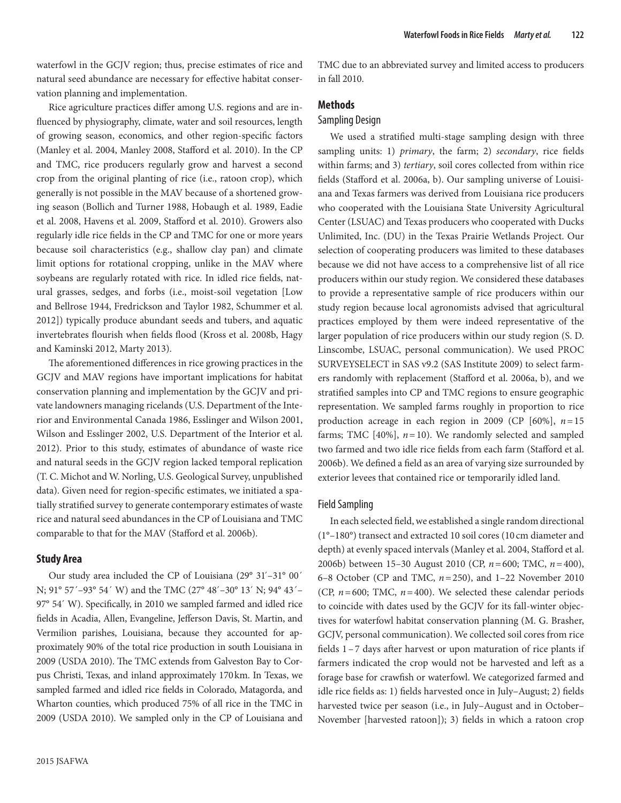waterfowl in the GCJV region; thus, precise estimates of rice and natural seed abundance are necessary for effective habitat conservation planning and implementation.

Rice agriculture practices differ among U.S. regions and are influenced by physiography, climate, water and soil resources, length of growing season, economics, and other region-specific factors (Manley et al. 2004, Manley 2008, Stafford et al. 2010). In the CP and TMC, rice producers regularly grow and harvest a second crop from the original planting of rice (i.e., ratoon crop), which generally is not possible in the MAV because of a shortened growing season (Bollich and Turner 1988, Hobaugh et al. 1989, Eadie et al. 2008, Havens et al. 2009, Stafford et al. 2010). Growers also regularly idle rice fields in the CP and TMC for one or more years because soil characteristics (e.g., shallow clay pan) and climate limit options for rotational cropping, unlike in the MAV where soybeans are regularly rotated with rice. In idled rice fields, natural grasses, sedges, and forbs (i.e., moist-soil vegetation [Low and Bellrose 1944, Fredrickson and Taylor 1982, Schummer et al. 2012]) typically produce abundant seeds and tubers, and aquatic invertebrates flourish when fields flood (Kross et al. 2008b, Hagy and Kaminski 2012, Marty 2013).

The aforementioned differences in rice growing practices in the GCJV and MAV regions have important implications for habitat conservation planning and implementation by the GCJV and private landowners managing ricelands (U.S. Department of the Interior and Environmental Canada 1986, Esslinger and Wilson 2001, Wilson and Esslinger 2002, U.S. Department of the Interior et al. 2012). Prior to this study, estimates of abundance of waste rice and natural seeds in the GCJV region lacked temporal replication (T. C. Michot and W. Norling, U.S. Geological Survey, unpublished data). Given need for region-specific estimates, we initiated a spatially stratified survey to generate contemporary estimates of waste rice and natural seed abundances in the CP of Louisiana and TMC comparable to that for the MAV (Stafford et al. 2006b).

### **Study Area**

Our study area included the CP of Louisiana (29° 31´–31° 00´ N; 91° 57´–93° 54´ W) and the TMC (27° 48´–30° 13´ N; 94° 43´– 97° 54´ W). Specifically, in 2010 we sampled farmed and idled rice fields in Acadia, Allen, Evangeline, Jefferson Davis, St. Martin, and Vermilion parishes, Louisiana, because they accounted for approximately 90% of the total rice production in south Louisiana in 2009 (USDA 2010). The TMC extends from Galveston Bay to Corpus Christi, Texas, and inland approximately 170km. In Texas, we sampled farmed and idled rice fields in Colorado, Matagorda, and Wharton counties, which produced 75% of all rice in the TMC in 2009 (USDA 2010). We sampled only in the CP of Louisiana and

TMC due to an abbreviated survey and limited access to producers in fall 2010.

# **Methods**

### Sampling Design

We used a stratified multi-stage sampling design with three sampling units: 1) *primary*, the farm; 2) *secondary*, rice fields within farms; and 3) *tertiary*, soil cores collected from within rice fields (Stafford et al. 2006a, b). Our sampling universe of Louisiana and Texas farmers was derived from Louisiana rice producers who cooperated with the Louisiana State University Agricultural Center (LSUAC) and Texas producers who cooperated with Ducks Unlimited, Inc. (DU) in the Texas Prairie Wetlands Project. Our selection of cooperating producers was limited to these databases because we did not have access to a comprehensive list of all rice producers within our study region. We considered these databases to provide a representative sample of rice producers within our study region because local agronomists advised that agricultural practices employed by them were indeed representative of the larger population of rice producers within our study region (S. D. Linscombe, LSUAC, personal communication). We used PROC SURVEYSELECT in SAS v9.2 (SAS Institute 2009) to select farmers randomly with replacement (Stafford et al. 2006a, b), and we stratified samples into CP and TMC regions to ensure geographic representation. We sampled farms roughly in proportion to rice production acreage in each region in 2009 (CP [60%], *n*=15 farms; TMC  $[40\%]$ ,  $n=10$ ). We randomly selected and sampled two farmed and two idle rice fields from each farm (Stafford et al. 2006b). We defined a field as an area of varying size surrounded by exterior levees that contained rice or temporarily idled land.

### Field Sampling

In each selected field, we established a single random directional (1°–180°) transect and extracted 10 soil cores (10 cm diameter and depth) at evenly spaced intervals (Manley et al. 2004, Stafford et al. 2006b) between 15–30 August 2010 (CP, *n*=600; TMC, *n*=400), 6–8 October (CP and TMC, *n*=250), and 1–22 November 2010 (CP,  $n = 600$ ; TMC,  $n = 400$ ). We selected these calendar periods to coincide with dates used by the GCJV for its fall-winter objectives for waterfowl habitat conservation planning (M. G. Brasher, GCJV, personal communication). We collected soil cores from rice fields 1–7 days after harvest or upon maturation of rice plants if farmers indicated the crop would not be harvested and left as a forage base for crawfish or waterfowl. We categorized farmed and idle rice fields as: 1) fields harvested once in July–August; 2) fields harvested twice per season (i.e., in July–August and in October– November [harvested ratoon]); 3) fields in which a ratoon crop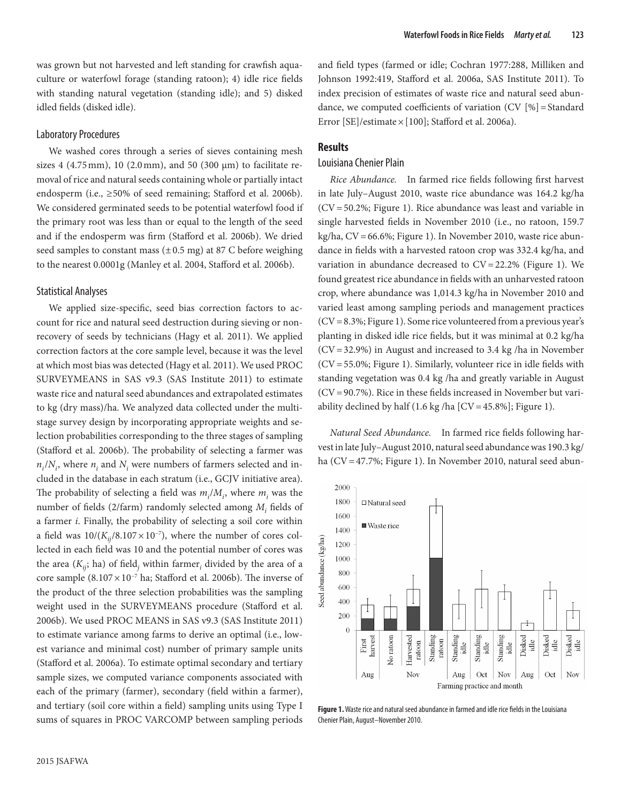was grown but not harvested and left standing for crawfish aquaculture or waterfowl forage (standing ratoon); 4) idle rice fields with standing natural vegetation (standing idle); and 5) disked idled fields (disked idle).

### Laboratory Procedures

We washed cores through a series of sieves containing mesh sizes 4 (4.75 mm), 10 (2.0 mm), and 50 (300  $\mu$ m) to facilitate removal of rice and natural seeds containing whole or partially intact endosperm (i.e., ≥50% of seed remaining; Stafford et al. 2006b). We considered germinated seeds to be potential waterfowl food if the primary root was less than or equal to the length of the seed and if the endosperm was firm (Stafford et al. 2006b). We dried seed samples to constant mass  $(\pm 0.5 \text{ mg})$  at 87 C before weighing to the nearest 0.0001g (Manley et al. 2004, Stafford et al. 2006b).

### Statistical Analyses

We applied size-specific, seed bias correction factors to account for rice and natural seed destruction during sieving or nonrecovery of seeds by technicians (Hagy et al. 2011). We applied correction factors at the core sample level, because it was the level at which most bias was detected (Hagy et al. 2011). We used PROC SURVEYMEANS in SAS v9.3 (SAS Institute 2011) to estimate waste rice and natural seed abundances and extrapolated estimates to kg (dry mass)/ha. We analyzed data collected under the multistage survey design by incorporating appropriate weights and selection probabilities corresponding to the three stages of sampling (Stafford et al. 2006b). The probability of selecting a farmer was  $n_i/N_i$ , where  $n_i$  and  $N_i$  were numbers of farmers selected and included in the database in each stratum (i.e., GCJV initiative area). The probability of selecting a field was  $m_i/M_i$ , where  $m_i$  was the number of fields (2/farm) randomly selected among  $M_i$  fields of a farmer *i*. Finally, the probability of selecting a soil core within a field was  $10/(K_{ij}/8.107\times10^{-7})$ , where the number of cores collected in each field was 10 and the potential number of cores was the area  $(K_{ij};$  ha) of field<sub>j</sub> within farmer<sub>*i*</sub> divided by the area of a core sample  $(8.107 \times 10^{-7}$  ha; Stafford et al. 2006b). The inverse of the product of the three selection probabilities was the sampling weight used in the SURVEYMEANS procedure (Stafford et al. 2006b). We used PROC MEANS in SAS v9.3 (SAS Institute 2011) to estimate variance among farms to derive an optimal (i.e., lowest variance and minimal cost) number of primary sample units (Stafford et al. 2006a). To estimate optimal secondary and tertiary sample sizes, we computed variance components associated with each of the primary (farmer), secondary (field within a farmer), and tertiary (soil core within a field) sampling units using Type I sums of squares in PROC VARCOMP between sampling periods

and field types (farmed or idle; Cochran 1977:288, Milliken and Johnson 1992:419, Stafford et al. 2006a, SAS Institute 2011). To index precision of estimates of waste rice and natural seed abundance, we computed coefficients of variation (CV [%]=Standard Error [SE]/estimate $\times$ [100]; Stafford et al. 2006a).

#### **Results**

# Louisiana Chenier Plain

*Rice Abundance.* In farmed rice fields following first harvest in late July–August 2010, waste rice abundance was 164.2 kg/ha (CV=50.2%; Figure 1). Rice abundance was least and variable in single harvested fields in November 2010 (i.e., no ratoon, 159.7 kg/ha, CV=66.6%; Figure 1). In November 2010, waste rice abundance in fields with a harvested ratoon crop was 332.4 kg/ha, and variation in abundance decreased to  $CV = 22.2\%$  (Figure 1). We found greatest rice abundance in fields with an unharvested ratoon crop, where abundance was 1,014.3 kg/ha in November 2010 and varied least among sampling periods and management practices (CV=8.3%; Figure 1). Some rice volunteered from a previous year's planting in disked idle rice fields, but it was minimal at 0.2 kg/ha  $(CV = 32.9\%)$  in August and increased to 3.4 kg /ha in November (CV=55.0%; Figure 1). Similarly, volunteer rice in idle fields with standing vegetation was 0.4 kg /ha and greatly variable in August (CV=90.7%). Rice in these fields increased in November but variability declined by half  $(1.6 \text{ kg/ha}$  [CV = 45.8%]; Figure 1).

*Natural Seed Abundance.* In farmed rice fields following harvest in late July–August 2010, natural seed abundance was 190.3 kg/ ha (CV=47.7%; Figure 1). In November 2010, natural seed abun-



**Figure 1.** Waste rice and natural seed abundance in farmed and idle rice fields in the Louisiana Chenier Plain, August–November 2010.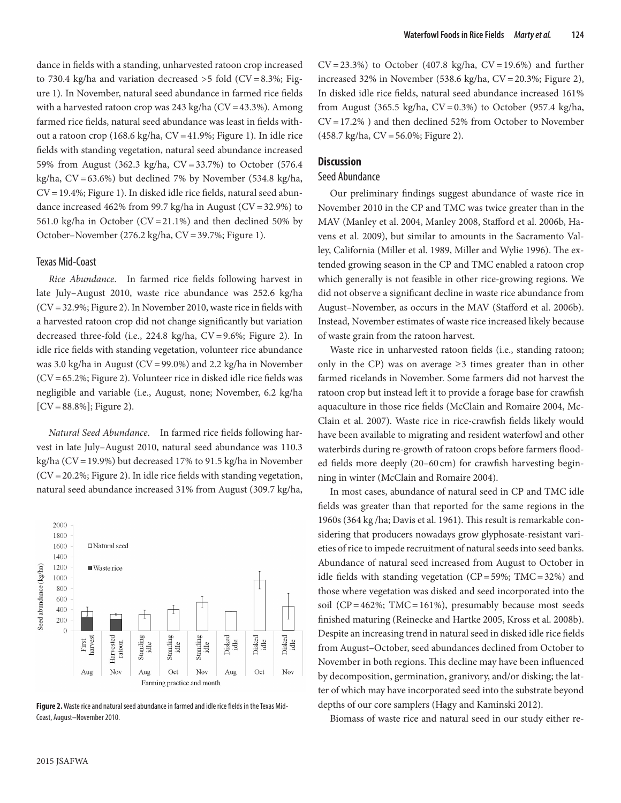dance in fields with a standing, unharvested ratoon crop increased to 730.4 kg/ha and variation decreased  $>$  5 fold (CV=8.3%; Figure 1). In November, natural seed abundance in farmed rice fields with a harvested ratoon crop was  $243$  kg/ha (CV = 43.3%). Among farmed rice fields, natural seed abundance was least in fields without a ratoon crop (168.6 kg/ha, CV=41.9%; Figure 1). In idle rice fields with standing vegetation, natural seed abundance increased 59% from August (362.3 kg/ha, CV=33.7%) to October (576.4 kg/ha, CV=63.6%) but declined 7% by November (534.8 kg/ha, CV=19.4%; Figure 1). In disked idle rice fields, natural seed abundance increased 462% from 99.7 kg/ha in August ( $CV = 32.9%$ ) to 561.0 kg/ha in October ( $CV = 21.1\%$ ) and then declined 50% by October–November (276.2 kg/ha, CV=39.7%; Figure 1).

### Texas Mid-Coast

*Rice Abundance*. In farmed rice fields following harvest in late July–August 2010, waste rice abundance was 252.6 kg/ha (CV=32.9%; Figure 2). In November 2010, waste rice in fields with a harvested ratoon crop did not change significantly but variation decreased three-fold (i.e., 224.8 kg/ha, CV=9.6%; Figure 2). In idle rice fields with standing vegetation, volunteer rice abundance was 3.0 kg/ha in August (CV=99.0%) and 2.2 kg/ha in November (CV=65.2%; Figure 2). Volunteer rice in disked idle rice fields was negligible and variable (i.e., August, none; November, 6.2 kg/ha  $[CV = 88.8\%]$ ; Figure 2).

*Natural Seed Abundance*. In farmed rice fields following harvest in late July–August 2010, natural seed abundance was 110.3 kg/ha (CV=19.9%) but decreased 17% to 91.5 kg/ha in November  $(CV = 20.2\%$ ; Figure 2). In idle rice fields with standing vegetation, natural seed abundance increased 31% from August (309.7 kg/ha,



**Figure 2.** Waste rice and natural seed abundance in farmed and idle rice fields in the Texas Mid-Coast, August–November 2010.

 $CV = 23.3\%$ ) to October (407.8 kg/ha,  $CV = 19.6\%$ ) and further increased 32% in November (538.6 kg/ha, CV=20.3%; Figure 2), In disked idle rice fields, natural seed abundance increased 161% from August (365.5 kg/ha,  $CV = 0.3\%$ ) to October (957.4 kg/ha, CV=17.2% ) and then declined 52% from October to November (458.7 kg/ha, CV=56.0%; Figure 2).

# **Discussion**

# Seed Abundance

Our preliminary findings suggest abundance of waste rice in November 2010 in the CP and TMC was twice greater than in the MAV (Manley et al. 2004, Manley 2008, Stafford et al. 2006b, Havens et al. 2009), but similar to amounts in the Sacramento Valley, California (Miller et al. 1989, Miller and Wylie 1996). The extended growing season in the CP and TMC enabled a ratoon crop which generally is not feasible in other rice-growing regions. We did not observe a significant decline in waste rice abundance from August–November, as occurs in the MAV (Stafford et al. 2006b). Instead, November estimates of waste rice increased likely because of waste grain from the ratoon harvest.

Waste rice in unharvested ratoon fields (i.e., standing ratoon; only in the CP) was on average  $\geq$ 3 times greater than in other farmed ricelands in November. Some farmers did not harvest the ratoon crop but instead left it to provide a forage base for crawfish aquaculture in those rice fields (McClain and Romaire 2004, Mc-Clain et al. 2007). Waste rice in rice-crawfish fields likely would have been available to migrating and resident waterfowl and other waterbirds during re-growth of ratoon crops before farmers flooded fields more deeply (20–60 cm) for crawfish harvesting beginning in winter (McClain and Romaire 2004).

21 In most cases, abundance of natural seed in CP and TMC idle fields was greater than that reported for the same regions in the 1960s (364 kg /ha; Davis et al. 1961). This result is remarkable considering that producers nowadays grow glyphosate-resistant varieties of rice to impede recruitment of natural seeds into seed banks. Abundance of natural seed increased from August to October in idle fields with standing vegetation  $(CP = 59\%; TMC = 32\%)$  and those where vegetation was disked and seed incorporated into the soil ( $CP = 462\%$ ; TMC=161%), presumably because most seeds finished maturing (Reinecke and Hartke 2005, Kross et al. 2008b). Despite an increasing trend in natural seed in disked idle rice fields from August–October, seed abundances declined from October to November in both regions. This decline may have been influenced by decomposition, germination, granivory, and/or disking; the latter of which may have incorporated seed into the substrate beyond depths of our core samplers (Hagy and Kaminski 2012).

Biomass of waste rice and natural seed in our study either re-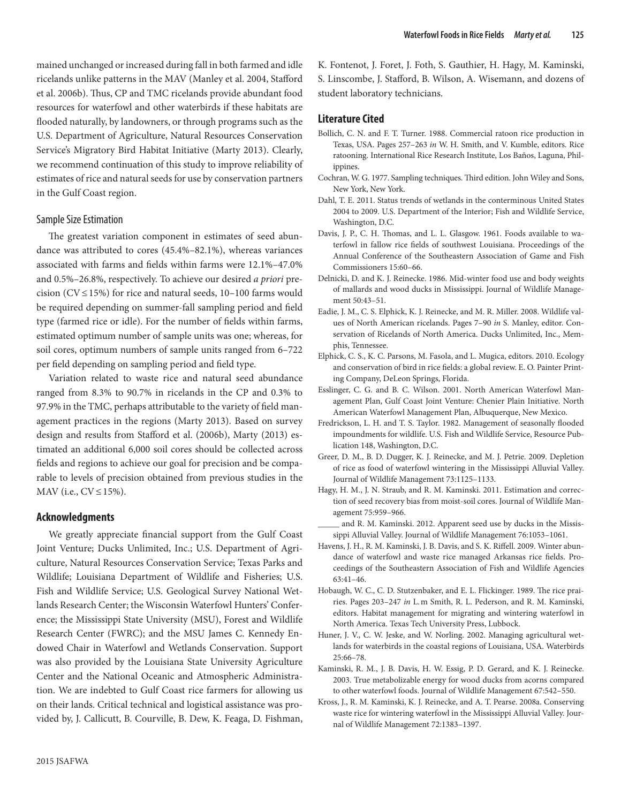mained unchanged or increased during fall in both farmed and idle ricelands unlike patterns in the MAV (Manley et al. 2004, Stafford et al. 2006b). Thus, CP and TMC ricelands provide abundant food resources for waterfowl and other waterbirds if these habitats are flooded naturally, by landowners, or through programs such as the U.S. Department of Agriculture, Natural Resources Conservation Service's Migratory Bird Habitat Initiative (Marty 2013). Clearly, we recommend continuation of this study to improve reliability of estimates of rice and natural seeds for use by conservation partners in the Gulf Coast region.

### Sample Size Estimation

The greatest variation component in estimates of seed abundance was attributed to cores (45.4%–82.1%), whereas variances associated with farms and fields within farms were 12.1%–47.0% and 0.5%–26.8%, respectively. To achieve our desired *a priori* precision ( $CV \le 15\%$ ) for rice and natural seeds, 10–100 farms would be required depending on summer-fall sampling period and field type (farmed rice or idle). For the number of fields within farms, estimated optimum number of sample units was one; whereas, for soil cores, optimum numbers of sample units ranged from 6–722 per field depending on sampling period and field type.

Variation related to waste rice and natural seed abundance ranged from 8.3% to 90.7% in ricelands in the CP and 0.3% to 97.9% in the TMC, perhaps attributable to the variety of field management practices in the regions (Marty 2013). Based on survey design and results from Stafford et al. (2006b), Marty (2013) estimated an additional 6,000 soil cores should be collected across fields and regions to achieve our goal for precision and be comparable to levels of precision obtained from previous studies in the MAV (i.e.,  $CV \le 15\%$ ).

### **Acknowledgments**

We greatly appreciate financial support from the Gulf Coast Joint Venture; Ducks Unlimited, Inc.; U.S. Department of Agriculture, Natural Resources Conservation Service; Texas Parks and Wildlife; Louisiana Department of Wildlife and Fisheries; U.S. Fish and Wildlife Service; U.S. Geological Survey National Wetlands Research Center; the Wisconsin Waterfowl Hunters' Conference; the Mississippi State University (MSU), Forest and Wildlife Research Center (FWRC); and the MSU James C. Kennedy Endowed Chair in Waterfowl and Wetlands Conservation. Support was also provided by the Louisiana State University Agriculture Center and the National Oceanic and Atmospheric Administration. We are indebted to Gulf Coast rice farmers for allowing us on their lands. Critical technical and logistical assistance was provided by, J. Callicutt, B. Courville, B. Dew, K. Feaga, D. Fishman,

K. Fontenot, J. Foret, J. Foth, S. Gauthier, H. Hagy, M. Kaminski, S. Linscombe, J. Stafford, B. Wilson, A. Wisemann, and dozens of student laboratory technicians.

# **Literature Cited**

- Bollich, C. N. and F. T. Turner. 1988. Commercial ratoon rice production in Texas, USA. Pages 257–263 *in* W. H. Smith, and V. Kumble, editors. Rice ratooning. International Rice Research Institute, Los Baños, Laguna, Philippines.
- Cochran, W. G. 1977. Sampling techniques. Third edition. John Wiley and Sons, New York, New York.
- Dahl, T. E. 2011. Status trends of wetlands in the conterminous United States 2004 to 2009. U.S. Department of the Interior; Fish and Wildlife Service, Washington, D.C.
- Davis, J. P., C. H. Thomas, and L. L. Glasgow. 1961. Foods available to waterfowl in fallow rice fields of southwest Louisiana. Proceedings of the Annual Conference of the Southeastern Association of Game and Fish Commissioners 15:60–66.
- Delnicki, D. and K. J. Reinecke. 1986. Mid-winter food use and body weights of mallards and wood ducks in Mississippi. Journal of Wildlife Management 50:43–51.
- Eadie, J. M., C. S. Elphick, K. J. Reinecke, and M. R. Miller. 2008. Wildlife values of North American ricelands. Pages 7–90 *in* S. Manley, editor. Conservation of Ricelands of North America. Ducks Unlimited, Inc., Memphis, Tennessee.
- Elphick, C. S., K. C. Parsons, M. Fasola, and L. Mugica, editors. 2010. Ecology and conservation of bird in rice fields: a global review. E. O. Painter Printing Company, DeLeon Springs, Florida.
- Esslinger, C. G. and B. C. Wilson. 2001. North American Waterfowl Management Plan, Gulf Coast Joint Venture: Chenier Plain Initiative. North American Waterfowl Management Plan, Albuquerque, New Mexico.
- Fredrickson, L. H. and T. S. Taylor. 1982. Management of seasonally flooded impoundments for wildlife. U.S. Fish and Wildlife Service, Resource Publication 148, Washington, D.C.
- Greer, D. M., B. D. Dugger, K. J. Reinecke, and M. J. Petrie. 2009. Depletion of rice as food of waterfowl wintering in the Mississippi Alluvial Valley. Journal of Wildlife Management 73:1125–1133.
- Hagy, H. M., J. N. Straub, and R. M. Kaminski. 2011. Estimation and correction of seed recovery bias from moist-soil cores. Journal of Wildlife Management 75:959–966.
- and R. M. Kaminski. 2012. Apparent seed use by ducks in the Mississippi Alluvial Valley. Journal of Wildlife Management 76:1053–1061.
- Havens, J. H., R. M. Kaminski, J. B. Davis, and S. K. Riffell. 2009. Winter abundance of waterfowl and waste rice managed Arkansas rice fields. Proceedings of the Southeastern Association of Fish and Wildlife Agencies 63:41–46.
- Hobaugh, W. C., C. D. Stutzenbaker, and E. L. Flickinger. 1989. The rice prairies. Pages 203–247 *in* L.m Smith, R. L. Pederson, and R. M. Kaminski, editors. Habitat management for migrating and wintering waterfowl in North America. Texas Tech University Press, Lubbock.
- Huner, J. V., C. W. Jeske, and W. Norling. 2002. Managing agricultural wetlands for waterbirds in the coastal regions of Louisiana, USA. Waterbirds 25:66–78.
- Kaminski, R. M., J. B. Davis, H. W. Essig, P. D. Gerard, and K. J. Reinecke. 2003. True metabolizable energy for wood ducks from acorns compared to other waterfowl foods. Journal of Wildlife Management 67:542–550.
- Kross, J., R. M. Kaminski, K. J. Reinecke, and A. T. Pearse. 2008a. Conserving waste rice for wintering waterfowl in the Mississippi Alluvial Valley. Journal of Wildlife Management 72:1383–1397.